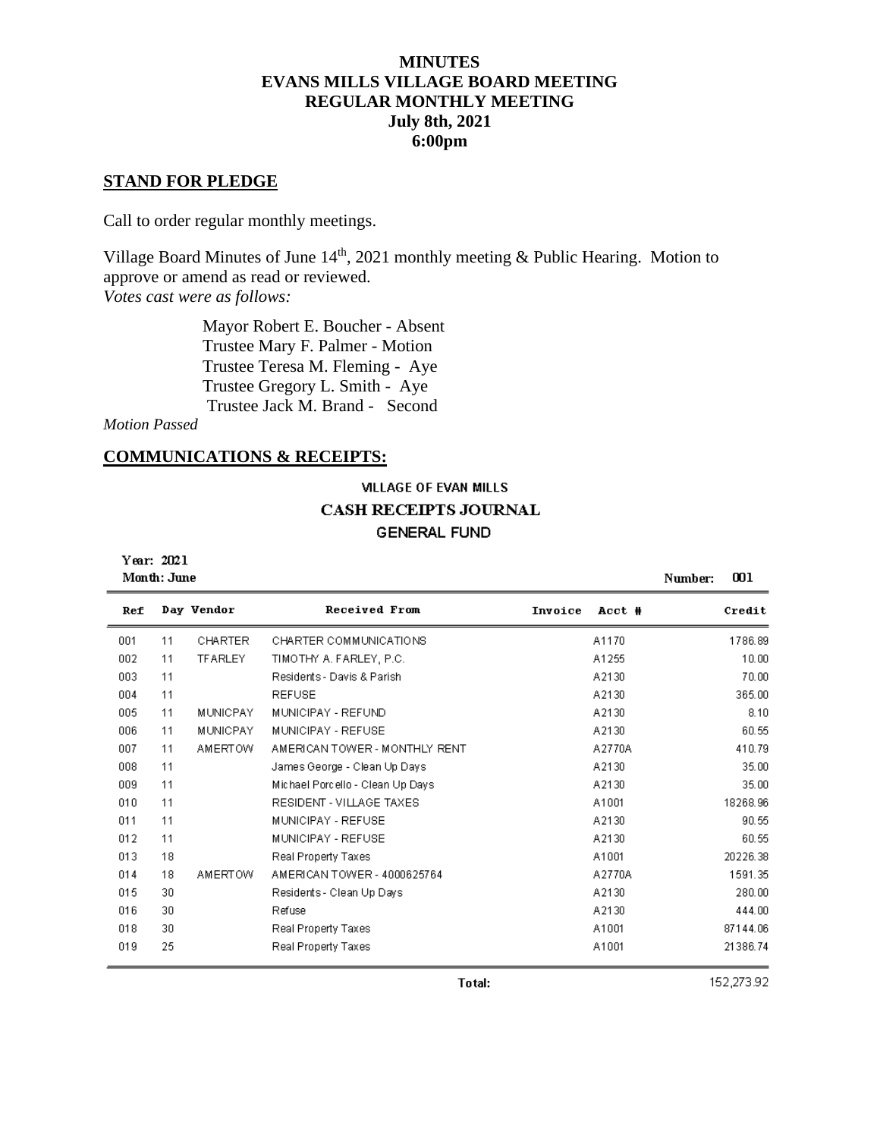# **MINUTES EVANS MILLS VILLAGE BOARD MEETING REGULAR MONTHLY MEETING July 8th, 2021 6:00pm**

#### **STAND FOR PLEDGE**

Call to order regular monthly meetings.

Village Board Minutes of June  $14<sup>th</sup>$ , 2021 monthly meeting & Public Hearing. Motion to approve or amend as read or reviewed. *Votes cast were as follows:*

> Mayor Robert E. Boucher - Absent Trustee Mary F. Palmer - Motion Trustee Teresa M. Fleming - Aye Trustee Gregory L. Smith - Aye Trustee Jack M. Brand - Second

*Motion Passed*

#### **COMMUNICATIONS & RECEIPTS:**

# **VILLAGE OF EVAN MILLS CASH RECEIPTS JOURNAL GENERAL FUND**

Year: 2021 د...

| Month: June |    |                 |                                  |         |        | Number: | 001      |
|-------------|----|-----------------|----------------------------------|---------|--------|---------|----------|
| Ref         |    | Day Vendor      | Received From                    | Invoice | Acct # |         | Credit   |
| 001         | 11 | <b>CHARTER</b>  | CHARTER COMMUNICATIONS           |         | A1170  |         | 1786.89  |
| 002         | 11 | <b>TFARLEY</b>  | TIMOTHY A. FARLEY, P.C.          |         | A1255  |         | 10.00    |
| 003         | 11 |                 | Residents - Davis & Parish       |         | A2130  |         | 70.00    |
| 004         | 11 |                 | <b>REFUSE</b>                    |         | A2130  |         | 365.00   |
| 005         | 11 | MUNICPAY        | MUNICIPAY - REFUND               |         | A2130  |         | 8.10     |
| 006         | 11 | <b>MUNICPAY</b> | MUNICIPAY - REFUSE               |         | A2130  |         | 60.55    |
| 007         | 11 | <b>AMERTOW</b>  | AMERICAN TOWER - MONTHLY RENT    |         | A2770A |         | 410.79   |
| 008         | 11 |                 | James George - Clean Up Days.    |         | A2130  |         | 35.00    |
| 009         | 11 |                 | Michael Porcello - Clean Up Days |         | A2130  |         | 35.00    |
| 010         | 11 |                 | RESIDENT - VILLAGE TAXES         |         | A1001  |         | 18268.96 |
| 011         | 11 |                 | MUNICIPAY - REFUSE               |         | A2130  |         | 90.55    |
| 012         | 11 |                 | MUNICIPAY - REFUSE               |         | A2130  |         | 60.55    |
| 013         | 18 |                 | Real Property Taxes              |         | A1001  |         | 20226.38 |
| 014         | 18 | <b>AMERTOW</b>  | AMERICAN TOWER - 4000625764      |         | A2770A |         | 1591.35  |
| 015         | 30 |                 | Residents - Clean Up Days        |         | A2130  |         | 280.00   |
| 016         | 30 |                 | Refuse                           |         | A2130  |         | 444.00   |
| 018         | 30 |                 | Real Property Taxes              |         | A1001  |         | 87144.06 |
| 019         | 25 |                 | Real Property Taxes              |         | A1001  |         | 21386.74 |

152,273.92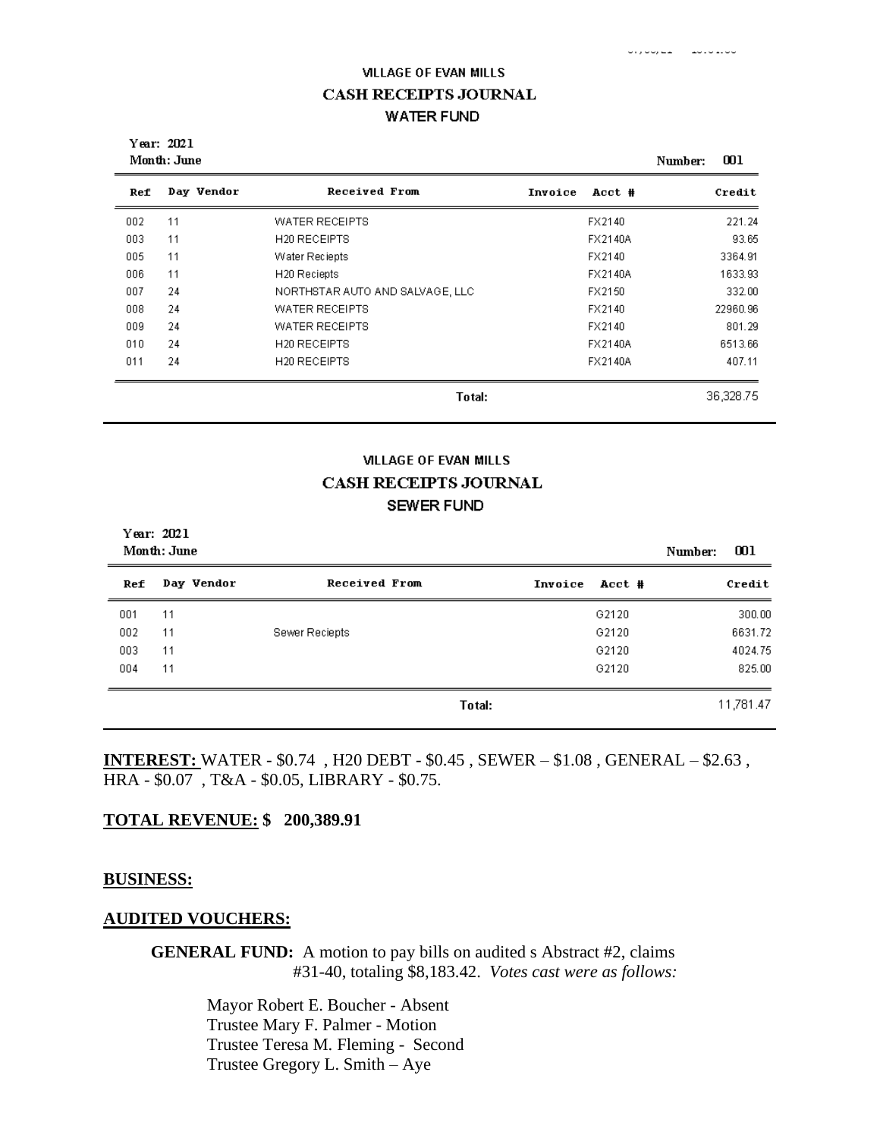فاقتط فالاقطار الطط رقاقة والأف

Year: 2021 Month: June Number: 001 **Received From** Day Vendor Ref Invoice Acct # Credit 221.24 11 WATER RECEIPTS 002 FX2140 003 11 H20 RECEIPTS FX2140A 93.65 005 11 Water Reciepts FX2140 3364.91 006 11 H20 Reciepts FX2140A 1633.93 007 24 NORTHSTAR AUTO AND SALVAGE, LLC FX2150 332.00 008 24 WATER RECEIPTS FX2140 22960.96 FX2140 009 24 WATER RECEIPTS 801.29 010 24 H<sub>20</sub> RECEIPTS FX2140A 6513.66 011 24 H20 RECEIPTS FX2140A 407.11 36,328.75 Total:

#### **VILLAGE OF EVAN MILLS**

# **CASH RECEIPTS JOURNAL SEWER FUND**

| Year: 2021<br>Month: June | Number:    | 001                  |         |        |  |           |
|---------------------------|------------|----------------------|---------|--------|--|-----------|
| Ref                       | Day Vendor | <b>Received From</b> | Invoice | Acct # |  | Credit    |
| 001                       | 11         |                      |         | G2120  |  | 300.00    |
| 002                       | 11         | Sewer Reciepts       |         | G2120  |  | 6631.72   |
| 003                       | 11         |                      |         | G2120  |  | 4024.75   |
| 004                       | 11         |                      |         | G2120  |  | 825.00    |
|                           |            |                      | Total:  |        |  | 11,781.47 |

**INTEREST:** WATER - \$0.74 , H20 DEBT - \$0.45 , SEWER – \$1.08 , GENERAL – \$2.63 , HRA - \$0.07 , T&A - \$0.05, LIBRARY - \$0.75.

#### **TOTAL REVENUE: \$ 200,389.91**

#### **BUSINESS:**

#### **AUDITED VOUCHERS:**

**GENERAL FUND:** A motion to pay bills on audited s Abstract #2, claims #31-40, totaling \$8,183.42. *Votes cast were as follows:*

> Mayor Robert E. Boucher - Absent Trustee Mary F. Palmer - Motion Trustee Teresa M. Fleming - Second Trustee Gregory L. Smith – Aye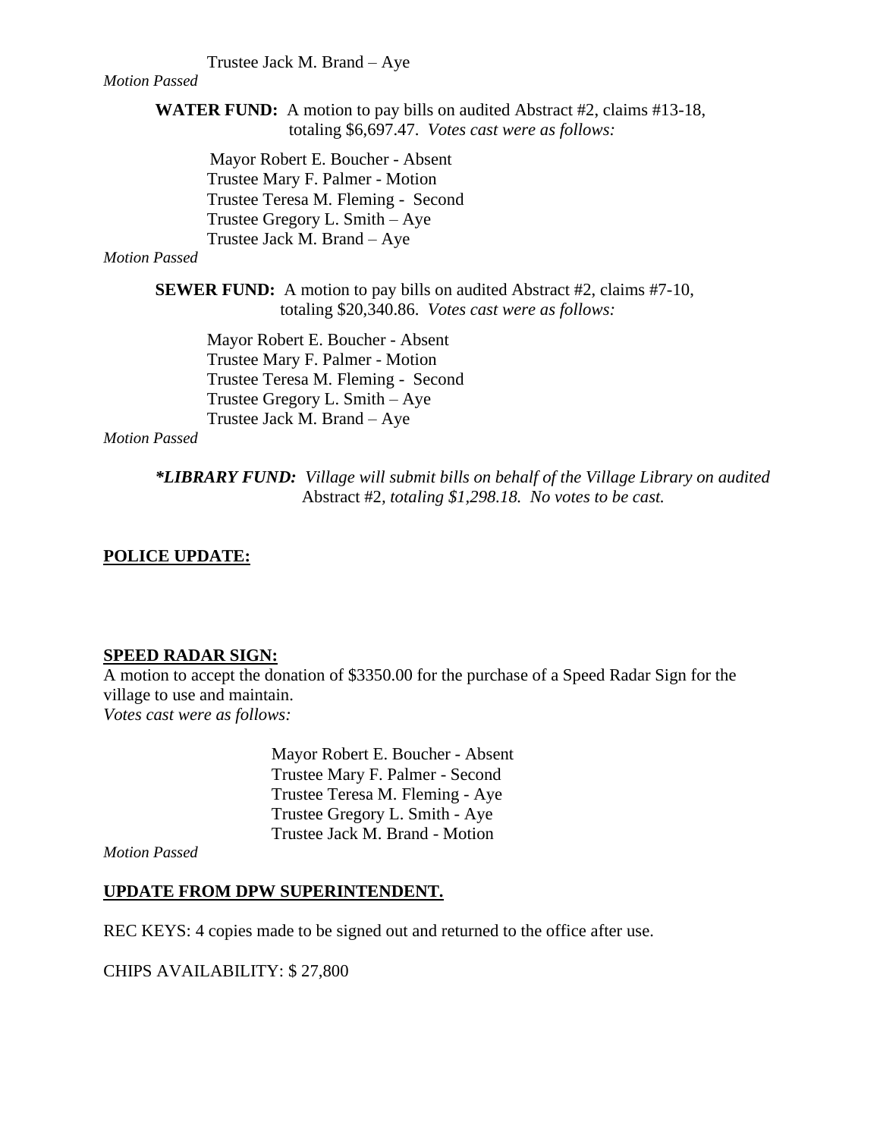#### Trustee Jack M. Brand – Aye

#### *Motion Passed*

**WATER FUND:** A motion to pay bills on audited Abstract #2, claims #13-18, totaling \$6,697.47. *Votes cast were as follows:*

 Mayor Robert E. Boucher - Absent Trustee Mary F. Palmer - Motion Trustee Teresa M. Fleming - Second Trustee Gregory L. Smith – Aye Trustee Jack M. Brand – Aye

#### *Motion Passed*

**SEWER FUND:** A motion to pay bills on audited Abstract #2, claims #7-10, totaling \$20,340.86. *Votes cast were as follows:*

Mayor Robert E. Boucher - Absent Trustee Mary F. Palmer - Motion Trustee Teresa M. Fleming - Second Trustee Gregory L. Smith – Aye Trustee Jack M. Brand – Aye

*Motion Passed*

*\*LIBRARY FUND: Village will submit bills on behalf of the Village Library on audited* Abstract #2*, totaling \$1,298.18. No votes to be cast.*

## **POLICE UPDATE:**

#### **SPEED RADAR SIGN:**

A motion to accept the donation of \$3350.00 for the purchase of a Speed Radar Sign for the village to use and maintain. *Votes cast were as follows:*

> Mayor Robert E. Boucher - Absent Trustee Mary F. Palmer - Second Trustee Teresa M. Fleming - Aye Trustee Gregory L. Smith - Aye Trustee Jack M. Brand - Motion

*Motion Passed*

## **UPDATE FROM DPW SUPERINTENDENT.**

REC KEYS: 4 copies made to be signed out and returned to the office after use.

CHIPS AVAILABILITY: \$ 27,800